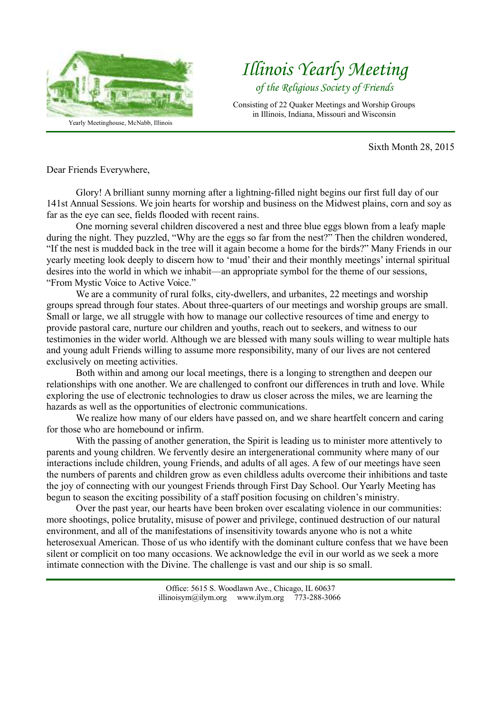

*Illinois Yearly Meeting of the Religious Society of Friends*

Consisting of 22 Quaker Meetings and Worship Groups in Illinois, Indiana, Missouri and Wisconsin

Sixth Month 28, 2015

Dear Friends Everywhere,

Glory! A brilliant sunny morning after a lightning-filled night begins our first full day of our 141st Annual Sessions. We join hearts for worship and business on the Midwest plains, corn and soy as far as the eye can see, fields flooded with recent rains.

One morning several children discovered a nest and three blue eggs blown from a leafy maple during the night. They puzzled, "Why are the eggs so far from the nest?" Then the children wondered, "If the nest is mudded back in the tree will it again become a home for the birds?" Many Friends in our yearly meeting look deeply to discern how to 'mud' their and their monthly meetings' internal spiritual desires into the world in which we inhabit—an appropriate symbol for the theme of our sessions, "From Mystic Voice to Active Voice."

We are a community of rural folks, city-dwellers, and urbanites, 22 meetings and worship groups spread through four states. About three-quarters of our meetings and worship groups are small. Small or large, we all struggle with how to manage our collective resources of time and energy to provide pastoral care, nurture our children and youths, reach out to seekers, and witness to our testimonies in the wider world. Although we are blessed with many souls willing to wear multiple hats and young adult Friends willing to assume more responsibility, many of our lives are not centered exclusively on meeting activities.

Both within and among our local meetings, there is a longing to strengthen and deepen our relationships with one another. We are challenged to confront our differences in truth and love. While exploring the use of electronic technologies to draw us closer across the miles, we are learning the hazards as well as the opportunities of electronic communications.

We realize how many of our elders have passed on, and we share heartfelt concern and caring for those who are homebound or infirm.

With the passing of another generation, the Spirit is leading us to minister more attentively to parents and young children. We fervently desire an intergenerational community where many of our interactions include children, young Friends, and adults of all ages. A few of our meetings have seen the numbers of parents and children grow as even childless adults overcome their inhibitions and taste the joy of connecting with our youngest Friends through First Day School. Our Yearly Meeting has begun to season the exciting possibility of a staff position focusing on children's ministry.

Over the past year, our hearts have been broken over escalating violence in our communities: more shootings, police brutality, misuse of power and privilege, continued destruction of our natural environment, and all of the manifestations of insensitivity towards anyone who is not a white heterosexual American. Those of us who identify with the dominant culture confess that we have been silent or complicit on too many occasions. We acknowledge the evil in our world as we seek a more intimate connection with the Divine. The challenge is vast and our ship is so small.